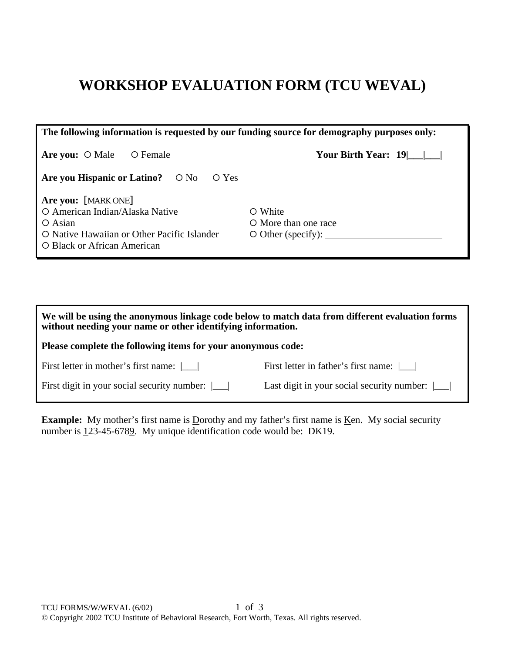## **WORKSHOP EVALUATION FORM (TCU WEVAL)**

| The following information is requested by our funding source for demography purposes only:                                                               |                                                             |  |  |  |  |  |
|----------------------------------------------------------------------------------------------------------------------------------------------------------|-------------------------------------------------------------|--|--|--|--|--|
| O Female<br>Are you: $\circ$ Male                                                                                                                        | Your Birth Year: 19                                         |  |  |  |  |  |
| Are you Hispanic or Latino? $\circ$ No<br>O Yes                                                                                                          |                                                             |  |  |  |  |  |
| Are you: [MARK ONE]<br>O American Indian/Alaska Native<br>$\bigcirc$ Asian<br>O Native Hawaiian or Other Pacific Islander<br>O Black or African American | O White<br>O More than one race<br>$\circ$ Other (specify): |  |  |  |  |  |

| We will be using the anonymous linkage code below to match data from different evaluation forms<br>without needing your name or other identifying information. |                                            |  |  |  |  |
|----------------------------------------------------------------------------------------------------------------------------------------------------------------|--------------------------------------------|--|--|--|--|
| Please complete the following items for your anonymous code:                                                                                                   |                                            |  |  |  |  |
| First letter in mother's first name: $\lfloor \cdot \rfloor$                                                                                                   | First letter in father's first name:       |  |  |  |  |
| First digit in your social security number: $\lfloor \quad \rfloor$                                                                                            | Last digit in your social security number: |  |  |  |  |

**Example:** My mother's first name is Dorothy and my father's first name is <u>K</u>en. My social security number is 123-45-6789. My unique identification code would be: DK19.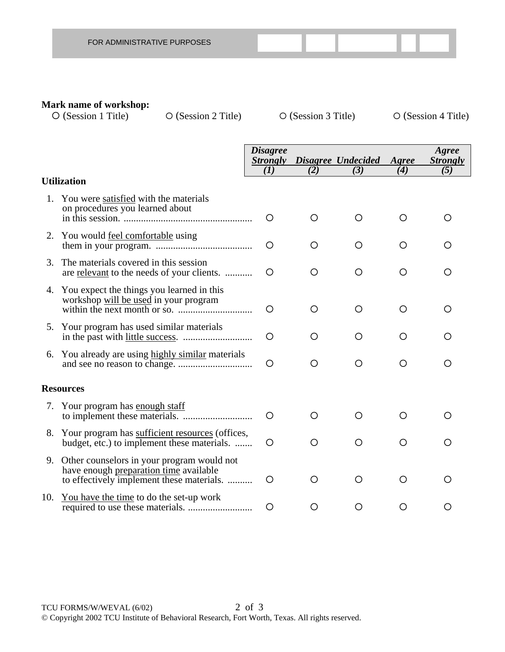|  | FOR ADMINISTRATIVE PURPOSES |  |  |  |  |
|--|-----------------------------|--|--|--|--|
|--|-----------------------------|--|--|--|--|

## **Mark name of workshop:**<br>  $\bigcirc$  (Session 1 Title)

 ${\rm O}$  (Session 2 Title)  ${\rm O}$  (Session 3 Title)  ${\rm O}$  (Session 4 Title)

|    |                                                                                                                                      | <b>Disagree</b>        |     |                           |              | Agree                  |
|----|--------------------------------------------------------------------------------------------------------------------------------------|------------------------|-----|---------------------------|--------------|------------------------|
|    |                                                                                                                                      | <b>Strongly</b><br>(I) | (2) | Disagree Undecided<br>(3) | Agree<br>(4) | <b>Strongly</b><br>(5) |
|    | <b>Utilization</b>                                                                                                                   |                        |     |                           |              |                        |
|    | 1. You were satisfied with the materials<br>on procedures you learned about                                                          | O                      | O   | O                         | O            | O                      |
|    | 2. You would feel comfortable using                                                                                                  | $\bigcirc$             | O   | O                         | O            | O                      |
| 3. | The materials covered in this session<br>are relevant to the needs of your clients.                                                  | O                      | O   | O                         | O            | O                      |
|    | 4. You expect the things you learned in this<br>workshop will be used in your program                                                | $\circ$                | O   | O                         | O            | O                      |
|    | 5. Your program has used similar materials                                                                                           | O                      | O   | O                         | O            | ∩                      |
|    | 6. You already are using highly similar materials                                                                                    | $\circ$                | O   | O                         | O            | O                      |
|    | <b>Resources</b>                                                                                                                     |                        |     |                           |              |                        |
|    | 7. Your program has enough staff                                                                                                     | $\circ$                | ∩   | O                         | O            | ◯                      |
|    | 8. Your program has sufficient resources (offices,<br>budget, etc.) to implement these materials.                                    | $\circ$                | O   | O                         | O            | ◯                      |
|    | 9. Other counselors in your program would not<br>have enough preparation time available<br>to effectively implement these materials. | O                      | O   | O                         | O            | O                      |
|    | 10. You have the time to do the set-up work                                                                                          | O                      | Ő   | Ő                         | Ő            | Ő                      |